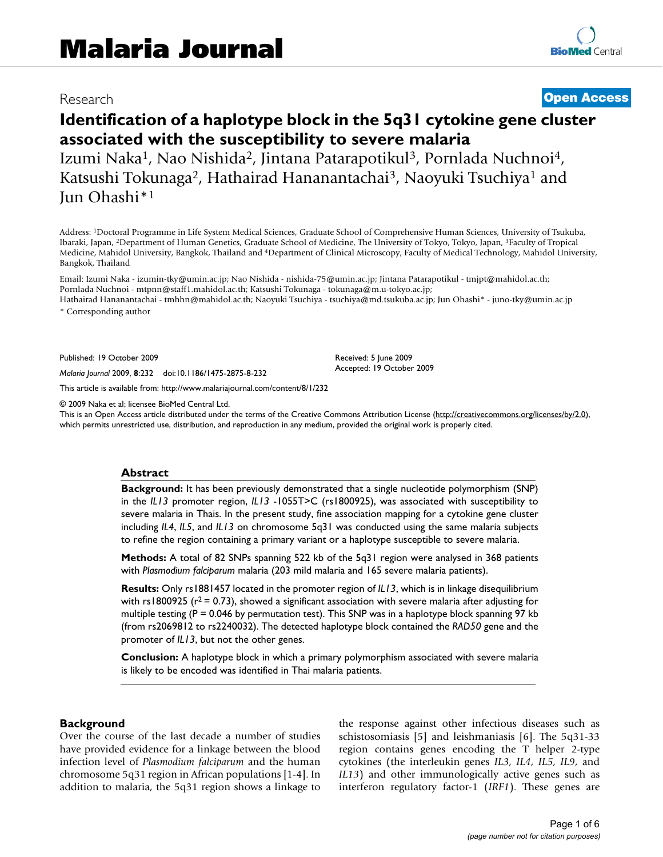# Research **[Open Access](http://www.biomedcentral.com/info/about/charter/)**

# **Identification of a haplotype block in the 5q31 cytokine gene cluster associated with the susceptibility to severe malaria**

Izumi Naka<sup>1</sup>, Nao Nishida<sup>2</sup>, Jintana Patarapotikul<sup>3</sup>, Pornlada Nuchnoi<sup>4</sup>, Katsushi Tokunaga<sup>2</sup>, Hathairad Hananantachai<sup>3</sup>, Naoyuki Tsuchiya<sup>1</sup> and Jun Ohashi\*1

Address: 1Doctoral Programme in Life System Medical Sciences, Graduate School of Comprehensive Human Sciences, University of Tsukuba, Ibaraki, Japan, 2Department of Human Genetics, Graduate School of Medicine, The University of Tokyo, Tokyo, Japan, 3Faculty of Tropical Medicine, Mahidol University, Bangkok, Thailand and 4Department of Clinical Microscopy, Faculty of Medical Technology, Mahidol University, Bangkok, Thailand

Email: Izumi Naka - izumin-tky@umin.ac.jp; Nao Nishida - nishida-75@umin.ac.jp; Jintana Patarapotikul - tmjpt@mahidol.ac.th; Pornlada Nuchnoi - mtpnn@staff1.mahidol.ac.th; Katsushi Tokunaga - tokunaga@m.u-tokyo.ac.jp; Hathairad Hananantachai - tmhhn@mahidol.ac.th; Naoyuki Tsuchiya - tsuchiya@md.tsukuba.ac.jp; Jun Ohashi\* - juno-tky@umin.ac.jp

\* Corresponding author

Published: 19 October 2009

*Malaria Journal* 2009, **8**:232 doi:10.1186/1475-2875-8-232

[This article is available from: http://www.malariajournal.com/content/8/1/232](http://www.malariajournal.com/content/8/1/232)

© 2009 Naka et al; licensee BioMed Central Ltd.

This is an Open Access article distributed under the terms of the Creative Commons Attribution License [\(http://creativecommons.org/licenses/by/2.0\)](http://creativecommons.org/licenses/by/2.0), which permits unrestricted use, distribution, and reproduction in any medium, provided the original work is properly cited.

Received: 5 June 2009 Accepted: 19 October 2009

#### **Abstract**

**Background:** It has been previously demonstrated that a single nucleotide polymorphism (SNP) in the *IL13* promoter region, *IL13* -1055T>C (rs1800925), was associated with susceptibility to severe malaria in Thais. In the present study, fine association mapping for a cytokine gene cluster including *IL4*, *IL5*, and *IL13* on chromosome 5q31 was conducted using the same malaria subjects to refine the region containing a primary variant or a haplotype susceptible to severe malaria.

**Methods:** A total of 82 SNPs spanning 522 kb of the 5q31 region were analysed in 368 patients with *Plasmodium falciparum* malaria (203 mild malaria and 165 severe malaria patients).

**Results:** Only rs1881457 located in the promoter region of *IL13*, which is in linkage disequilibrium with rs1800925 ( $r^2$  = 0.73), showed a significant association with severe malaria after adjusting for multiple testing ( $P = 0.046$  by permutation test). This SNP was in a haplotype block spanning 97 kb (from rs2069812 to rs2240032). The detected haplotype block contained the *RAD50* gene and the promoter of *IL13*, but not the other genes.

**Conclusion:** A haplotype block in which a primary polymorphism associated with severe malaria is likely to be encoded was identified in Thai malaria patients.

#### **Background**

Over the course of the last decade a number of studies have provided evidence for a linkage between the blood infection level of *Plasmodium falciparum* and the human chromosome 5q31 region in African populations [1-4]. In addition to malaria, the 5q31 region shows a linkage to the response against other infectious diseases such as schistosomiasis [5] and leishmaniasis [6]. The 5q31-33 region contains genes encoding the T helper 2-type cytokines (the interleukin genes *IL3*, *IL4*, *IL5*, *IL9*, and *IL13*) and other immunologically active genes such as interferon regulatory factor-1 (*IRF1*). These genes are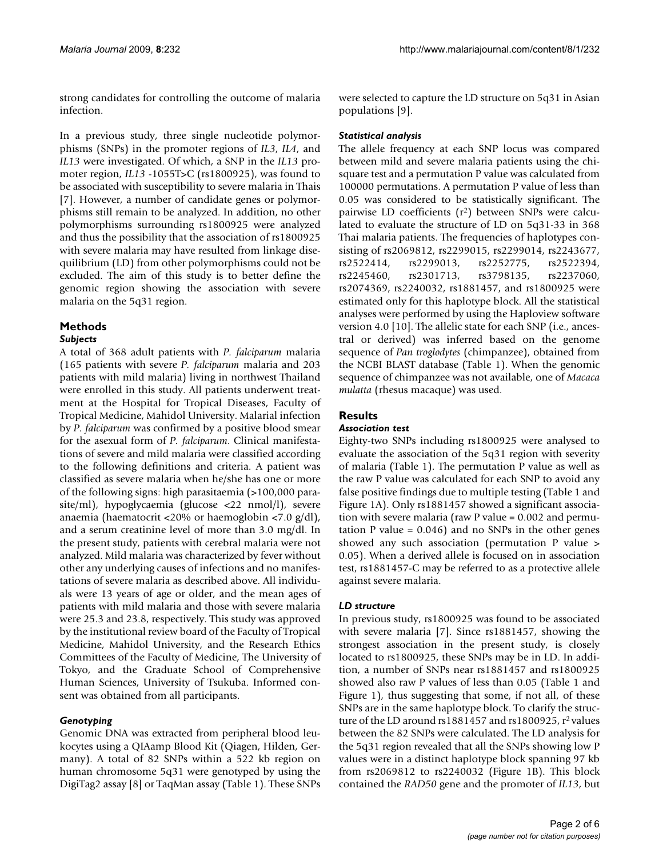strong candidates for controlling the outcome of malaria infection.

In a previous study, three single nucleotide polymorphisms (SNPs) in the promoter regions of *IL3*, *IL4*, and *IL13* were investigated. Of which, a SNP in the *IL13* promoter region, *IL13* -1055T>C (rs1800925), was found to be associated with susceptibility to severe malaria in Thais [7]. However, a number of candidate genes or polymorphisms still remain to be analyzed. In addition, no other polymorphisms surrounding rs1800925 were analyzed and thus the possibility that the association of rs1800925 with severe malaria may have resulted from linkage disequilibrium (LD) from other polymorphisms could not be excluded. The aim of this study is to better define the genomic region showing the association with severe malaria on the 5q31 region.

# **Methods**

# *Subjects*

A total of 368 adult patients with *P. falciparum* malaria (165 patients with severe *P. falciparum* malaria and 203 patients with mild malaria) living in northwest Thailand were enrolled in this study. All patients underwent treatment at the Hospital for Tropical Diseases, Faculty of Tropical Medicine, Mahidol University. Malarial infection by *P. falciparum* was confirmed by a positive blood smear for the asexual form of *P. falciparum*. Clinical manifestations of severe and mild malaria were classified according to the following definitions and criteria. A patient was classified as severe malaria when he/she has one or more of the following signs: high parasitaemia (>100,000 parasite/ml), hypoglycaemia (glucose <22 nmol/l), severe anaemia (haematocrit <20% or haemoglobin <7.0 g/dl), and a serum creatinine level of more than 3.0 mg/dl. In the present study, patients with cerebral malaria were not analyzed. Mild malaria was characterized by fever without other any underlying causes of infections and no manifestations of severe malaria as described above. All individuals were 13 years of age or older, and the mean ages of patients with mild malaria and those with severe malaria were 25.3 and 23.8, respectively. This study was approved by the institutional review board of the Faculty of Tropical Medicine, Mahidol University, and the Research Ethics Committees of the Faculty of Medicine, The University of Tokyo, and the Graduate School of Comprehensive Human Sciences, University of Tsukuba. Informed consent was obtained from all participants.

# *Genotyping*

Genomic DNA was extracted from peripheral blood leukocytes using a QIAamp Blood Kit (Qiagen, Hilden, Germany). A total of 82 SNPs within a 522 kb region on human chromosome 5q31 were genotyped by using the DigiTag2 assay [8] or TaqMan assay (Table 1). These SNPs

were selected to capture the LD structure on 5q31 in Asian populations [9].

#### *Statistical analysis*

The allele frequency at each SNP locus was compared between mild and severe malaria patients using the chisquare test and a permutation P value was calculated from 100000 permutations. A permutation P value of less than 0.05 was considered to be statistically significant. The pairwise LD coefficients (r2) between SNPs were calculated to evaluate the structure of LD on 5q31-33 in 368 Thai malaria patients. The frequencies of haplotypes consisting of rs2069812, rs2299015, rs2299014, rs2243677, rs2522414, rs2299013, rs2252775, rs2522394, rs2245460, rs2301713, rs3798135, rs2237060, rs2074369, rs2240032, rs1881457, and rs1800925 were estimated only for this haplotype block. All the statistical analyses were performed by using the Haploview software version 4.0 [10]. The allelic state for each SNP (i.e., ancestral or derived) was inferred based on the genome sequence of *Pan troglodytes* (chimpanzee), obtained from the NCBI BLAST database (Table 1). When the genomic sequence of chimpanzee was not available, one of *Macaca mulatta* (rhesus macaque) was used.

# **Results**

# *Association test*

Eighty-two SNPs including rs1800925 were analysed to evaluate the association of the 5q31 region with severity of malaria (Table 1). The permutation P value as well as the raw P value was calculated for each SNP to avoid any false positive findings due to multiple testing (Table 1 and Figure 1A). Only rs1881457 showed a significant association with severe malaria (raw P value = 0.002 and permutation P value =  $0.046$ ) and no SNPs in the other genes showed any such association (permutation P value > 0.05). When a derived allele is focused on in association test, rs1881457-C may be referred to as a protective allele against severe malaria.

# *LD structure*

In previous study, rs1800925 was found to be associated with severe malaria [7]. Since rs1881457, showing the strongest association in the present study, is closely located to rs1800925, these SNPs may be in LD. In addition, a number of SNPs near rs1881457 and rs1800925 showed also raw P values of less than 0.05 (Table 1 and Figure 1), thus suggesting that some, if not all, of these SNPs are in the same haplotype block. To clarify the structure of the LD around rs1881457 and rs1800925,  $r^2$  values between the 82 SNPs were calculated. The LD analysis for the 5q31 region revealed that all the SNPs showing low P values were in a distinct haplotype block spanning 97 kb from rs2069812 to rs2240032 (Figure 1B). This block contained the *RAD50* gene and the promoter of *IL13*, but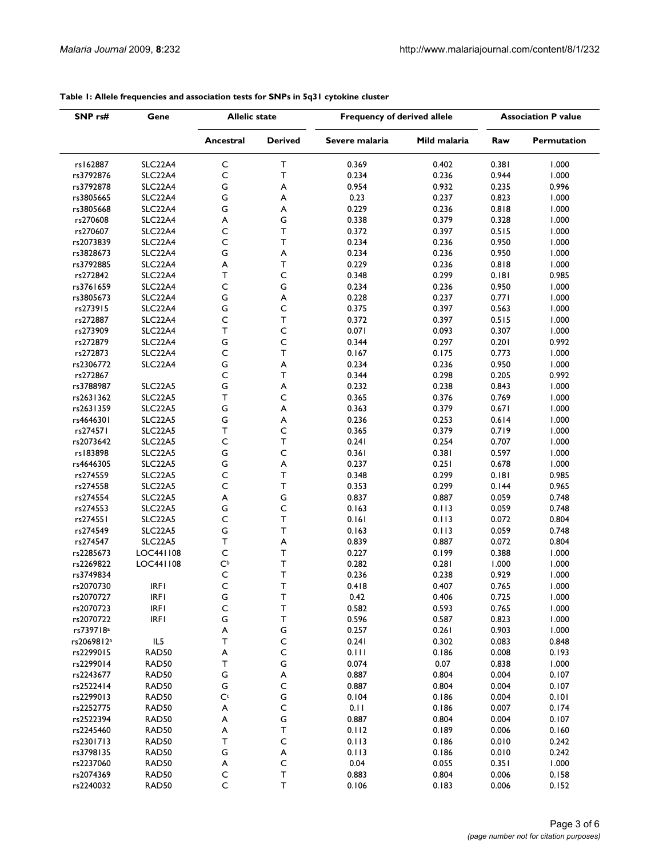| SNP rs#<br>Gene        |                                  | <b>Allelic state</b>       |                            | Frequency of derived allele |                | <b>Association P value</b> |                    |
|------------------------|----------------------------------|----------------------------|----------------------------|-----------------------------|----------------|----------------------------|--------------------|
|                        |                                  | Ancestral                  | <b>Derived</b>             | Severe malaria              | Mild malaria   | Raw                        | <b>Permutation</b> |
| rs162887               | SLC22A4                          | $\mathsf C$                | т                          | 0.369                       | 0.402          | 0.381                      | 1.000              |
| rs3792876              | SLC22A4                          | $\mathsf C$                | T.                         | 0.234                       | 0.236          | 0.944                      | 1.000              |
| rs3792878              | SLC22A4                          | G                          | A                          | 0.954                       | 0.932          | 0.235                      | 0.996              |
| rs3805665              | SLC22A4                          | G                          | A                          | 0.23                        | 0.237          | 0.823                      | 1.000              |
| rs3805668              | SLC22A4                          | G                          | A                          | 0.229                       | 0.236          | 0.818                      | 1.000              |
| rs270608               | SLC22A4                          | A                          | G                          | 0.338                       | 0.379          | 0.328                      | 1.000              |
| rs270607               | SLC22A4                          | $\mathsf C$                | T.                         | 0.372                       | 0.397          | 0.515                      | 1.000              |
| rs2073839              | SLC22A4                          | C                          | T                          | 0.234                       | 0.236          | 0.950                      | 1.000              |
| rs3828673              | SLC22A4                          | G                          | A                          | 0.234                       | 0.236          | 0.950                      | 1.000              |
| rs3792885              | SLC22A4                          | A                          | T.                         | 0.229                       | 0.236          | 0.818                      | 1.000              |
| rs272842               | SLC <sub>22</sub> A4             | T                          | C                          | 0.348                       | 0.299          | 0.181                      | 0.985              |
| rs3761659              | SLC22A4                          | $\mathsf C$                | G                          | 0.234                       | 0.236          | 0.950                      | 1.000              |
| rs3805673              | SLC22A4                          | G                          | A                          | 0.228                       | 0.237          | 0.771                      | 1.000              |
| rs273915               | SLC22A4                          | G                          | $\mathsf C$                | 0.375                       | 0.397          | 0.563                      | 1.000              |
| rs272887               | SLC22A4                          | C                          | T                          | 0.372                       | 0.397          | 0.515                      | 1.000              |
| rs273909               |                                  | T                          | $\mathsf C$                | 0.071                       | 0.093          | 0.307                      | 1.000              |
|                        | SLC22A4                          | G                          | C                          | 0.344                       |                |                            |                    |
| rs272879               | SLC22A4                          |                            | T                          |                             | 0.297          | 0.201                      | 0.992              |
| rs272873               | SLC <sub>22</sub> A4             | $\mathsf{C}$               |                            | 0.167                       | 0.175          | 0.773                      | 1.000              |
| rs2306772              | SLC22A4                          | G                          | A                          | 0.234                       | 0.236          | 0.950                      | 1.000              |
| rs272867               |                                  | C                          | T                          | 0.344                       | 0.298          | 0.205                      | 0.992              |
| rs3788987              | SLC22A5                          | G                          | A                          | 0.232                       | 0.238          | 0.843                      | 1.000              |
| rs2631362              | SLC22A5                          | т                          | C                          | 0.365                       | 0.376          | 0.769                      | 1.000              |
| rs2631359              | SLC22A5                          | G                          | A                          | 0.363                       | 0.379          | 0.671                      | 1.000              |
| rs4646301              | SLC22A5                          | G                          | A                          | 0.236                       | 0.253          | 0.614                      | 1.000              |
| rs274571               | SLC22A5                          | Τ                          | C                          | 0.365                       | 0.379          | 0.719                      | 1.000              |
| rs2073642              | SLC22A5                          | $\mathsf C$                | $\top$                     | 0.241                       | 0.254          | 0.707                      | 1.000              |
| rs183898               | SLC22A5                          | G                          | C                          | 0.361                       | 0.381          | 0.597                      | 1.000              |
| rs4646305              | SLC22A5                          | G                          | A                          | 0.237                       | 0.251          | 0.678                      | 1.000              |
| rs274559               | SLC22A5                          | C                          | T.                         | 0.348                       | 0.299          | 0.181                      | 0.985              |
| rs274558               | SLC22A5                          | $\mathsf C$                | T                          | 0.353                       | 0.299          | 0.144                      | 0.965              |
| rs274554               | SLC22A5                          | A                          | G                          | 0.837                       | 0.887          | 0.059                      | 0.748              |
| rs274553               | SLC22A5                          | G                          | С                          | 0.163                       | 0.113          | 0.059                      | 0.748              |
| rs274551               | SLC <sub>22</sub> A <sub>5</sub> | $\mathsf C$                | T                          | 0.161                       | 0.113          | 0.072                      | 0.804              |
| rs274549               | SLC22A5                          | G                          | T.                         | 0.163                       | 0.113          | 0.059                      | 0.748              |
| rs274547               | <b>SLC22A5</b>                   | T                          | A                          | 0.839                       | 0.887          | 0.072                      | 0.804              |
| rs2285673              | LOC441108                        | $\mathsf{C}$               | T                          | 0.227                       | 0.199          | 0.388                      | 1.000              |
| rs2269822              | LOC441108                        | $\mathsf{C}^{\mathsf{b}}$  | T                          | 0.282                       | 0.281          | 1.000                      | 1.000              |
| rs3749834              |                                  | $\mathsf C$                | T                          | 0.236                       | 0.238          | 0.929                      | 1.000              |
| rs2070730              | <b>IRFI</b>                      | C                          | Т                          | 0.418                       | 0.407          | 0.765                      | 1.000              |
| rs2070727              | <b>IRFI</b>                      | G                          | $\mathsf T$                | 0.42                        | 0.406          | 0.725                      | 1.000              |
| rs2070723              | <b>IRFI</b>                      | $\mathsf{C}$               | $\mathsf T$                | 0.582                       | 0.593          | 0.765                      | 1.000              |
| rs2070722              | <b>IRFI</b>                      | G                          | T                          | 0.596                       | 0.587          | 0.823                      | 1.000              |
| rs739718 <sup>a</sup>  |                                  | A                          | ${\mathsf G}$              | 0.257                       | 0.261          | 0.903                      | 1.000              |
| rs2069812 <sup>a</sup> | IL5                              | T                          | $\mathsf C$                | 0.241                       | 0.302          | 0.083                      | 0.848              |
| rs2299015              | RAD50                            | A                          | $\mathsf C$                | 0.111                       | 0.186          | 0.008                      | 0.193              |
| rs2299014              | RAD50                            | T                          | G                          | 0.074                       | 0.07           | 0.838                      | 1.000              |
| rs2243677              | RAD50                            | G                          | $\boldsymbol{\mathsf{A}}$  | 0.887                       | 0.804          | 0.004                      | 0.107              |
| rs2522414              | RAD50                            | G                          | $\mathsf C$                | 0.887                       | 0.804          | 0.004                      | 0.107              |
| rs2299013              | RAD50                            | $\mathsf{C}^{\mathsf{c}}$  | ${\mathsf G}$              | 0.104                       | 0.186          | 0.004                      | 0.101              |
| rs2252775              | RAD50                            | A                          | $\mathsf C$                | 0.11                        | 0.186          | 0.007                      | 0.174              |
| rs2522394              | RAD50                            | A                          | G                          | 0.887                       | 0.804          | 0.004                      | 0.107              |
| rs2245460              | RAD50                            | A                          | T                          | 0.112                       | 0.189          | 0.006                      | 0.160              |
| rs2301713              | RAD50                            | T                          | $\mathsf{C}$               | 0.113                       | 0.186          | 0.010                      | 0.242              |
| rs3798135              | RAD50                            | G                          |                            | 0.113                       |                |                            | 0.242              |
| rs2237060              | RAD50                            |                            | A<br>$\mathsf C$           | 0.04                        | 0.186<br>0.055 | 0.010<br>0.351             | 1.000              |
|                        |                                  | A                          |                            |                             |                |                            |                    |
| rs2074369              | RAD50                            | $\mathsf C$<br>$\mathsf C$ | $\mathsf T$<br>$\mathsf T$ | 0.883                       | 0.804          | 0.006                      | 0.158              |
| rs2240032              | RAD50                            |                            |                            | 0.106                       | 0.183          | 0.006                      | 0.152              |

#### **Table 1: Allele frequencies and association tests for SNPs in 5q31 cytokine cluster**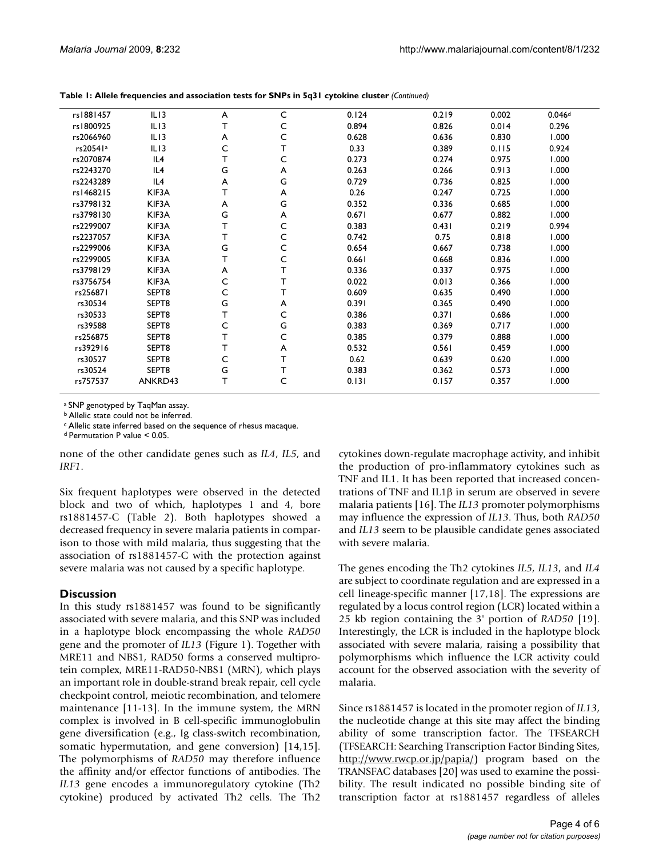| rs1881457 | IL13    | A | C            | 0.124 | 0.219 | 0.002 | 0.046d |  |
|-----------|---------|---|--------------|-------|-------|-------|--------|--|
| rs1800925 | ILI3    | T | C            | 0.894 | 0.826 | 0.014 | 0.296  |  |
| rs2066960 | ILI3    | A | C            | 0.628 | 0.636 | 0.830 | 1.000  |  |
| rs20541a  | ILI3    | C |              | 0.33  | 0.389 | 0.115 | 0.924  |  |
| rs2070874 | IL4     | T | C            | 0.273 | 0.274 | 0.975 | 1.000  |  |
| rs2243270 | IL4     | G | A            | 0.263 | 0.266 | 0.913 | 1.000  |  |
| rs2243289 | IL4     | A | G            | 0.729 | 0.736 | 0.825 | 1.000  |  |
| rs1468215 | KIF3A   | T | A            | 0.26  | 0.247 | 0.725 | 1.000  |  |
| rs3798132 | KIF3A   | A | G            | 0.352 | 0.336 | 0.685 | 1.000  |  |
| rs3798130 | KIF3A   | G | A            | 0.671 | 0.677 | 0.882 | 1.000  |  |
| rs2299007 | KIF3A   | T | C            | 0.383 | 0.431 | 0.219 | 0.994  |  |
| rs2237057 | KIF3A   | т | C            | 0.742 | 0.75  | 0.818 | 1.000  |  |
| rs2299006 | KIF3A   | G | C            | 0.654 | 0.667 | 0.738 | 1.000  |  |
| rs2299005 | KIF3A   | T | $\mathsf{C}$ | 0.661 | 0.668 | 0.836 | 1.000  |  |
| rs3798129 | KIF3A   | A | т            | 0.336 | 0.337 | 0.975 | 1.000  |  |
| rs3756754 | KIF3A   | C |              | 0.022 | 0.013 | 0.366 | 1.000  |  |
| rs256871  | SEPT8   | C | т            | 0.609 | 0.635 | 0.490 | 1.000  |  |
| rs30534   | SEPT8   | G | A            | 0.391 | 0.365 | 0.490 | 1.000  |  |
| rs30533   | SEPT8   | т | C            | 0.386 | 0.371 | 0.686 | 1.000  |  |
| rs39588   | SEPT8   | C | G            | 0.383 | 0.369 | 0.717 | 1.000  |  |
| rs256875  | SEPT8   | т | C            | 0.385 | 0.379 | 0.888 | 1.000  |  |
| rs392916  | SEPT8   | т | A            | 0.532 | 0.561 | 0.459 | 1.000  |  |
| rs30527   | SEPT8   | C | т            | 0.62  | 0.639 | 0.620 | 1.000  |  |
| rs30524   | SEPT8   | G | т            | 0.383 | 0.362 | 0.573 | 1.000  |  |
| rs757537  | ANKRD43 | T | C            | 0.131 | 0.157 | 0.357 | 1.000  |  |
|           |         |   |              |       |       |       |        |  |

**Table 1: Allele frequencies and association tests for SNPs in 5q31 cytokine cluster** *(Continued)*

a SNP genotyped by TaqMan assay.

b Allelic state could not be inferred.

c Allelic state inferred based on the sequence of rhesus macaque.

d Permutation P value < 0.05.

none of the other candidate genes such as *IL4*, *IL5*, and *IRF1*.

Six frequent haplotypes were observed in the detected block and two of which, haplotypes 1 and 4, bore rs1881457-C (Table 2). Both haplotypes showed a decreased frequency in severe malaria patients in comparison to those with mild malaria, thus suggesting that the association of rs1881457-C with the protection against severe malaria was not caused by a specific haplotype.

# **Discussion**

In this study rs1881457 was found to be significantly associated with severe malaria, and this SNP was included in a haplotype block encompassing the whole *RAD50* gene and the promoter of *IL13* (Figure 1). Together with MRE11 and NBS1, RAD50 forms a conserved multiprotein complex, MRE11-RAD50-NBS1 (MRN), which plays an important role in double-strand break repair, cell cycle checkpoint control, meiotic recombination, and telomere maintenance [11-13]. In the immune system, the MRN complex is involved in B cell-specific immunoglobulin gene diversification (e.g., Ig class-switch recombination, somatic hypermutation, and gene conversion) [14,15]. The polymorphisms of *RAD50* may therefore influence the affinity and/or effector functions of antibodies. The *IL13* gene encodes a immunoregulatory cytokine (Th2 cytokine) produced by activated Th2 cells. The Th2

cytokines down-regulate macrophage activity, and inhibit the production of pro-inflammatory cytokines such as TNF and IL1. It has been reported that increased concentrations of TNF and IL1β in serum are observed in severe malaria patients [16]. The *IL13* promoter polymorphisms may influence the expression of *IL13*. Thus, both *RAD50* and *IL13* seem to be plausible candidate genes associated with severe malaria.

The genes encoding the Th2 cytokines *IL5*, *IL13*, and *IL4* are subject to coordinate regulation and are expressed in a cell lineage-specific manner [17,18]. The expressions are regulated by a locus control region (LCR) located within a 25 kb region containing the 3' portion of *RAD50* [19]. Interestingly, the LCR is included in the haplotype block associated with severe malaria, raising a possibility that polymorphisms which influence the LCR activity could account for the observed association with the severity of malaria.

Since rs1881457 is located in the promoter region of *IL13*, the nucleotide change at this site may affect the binding ability of some transcription factor. The TFSEARCH (TFSEARCH: Searching Transcription Factor Binding Sites, [http://www.rwcp.or.jp/papia/\)](http://www.rwcp.or.jp/papia/) program based on the TRANSFAC databases [20] was used to examine the possibility. The result indicated no possible binding site of transcription factor at rs1881457 regardless of alleles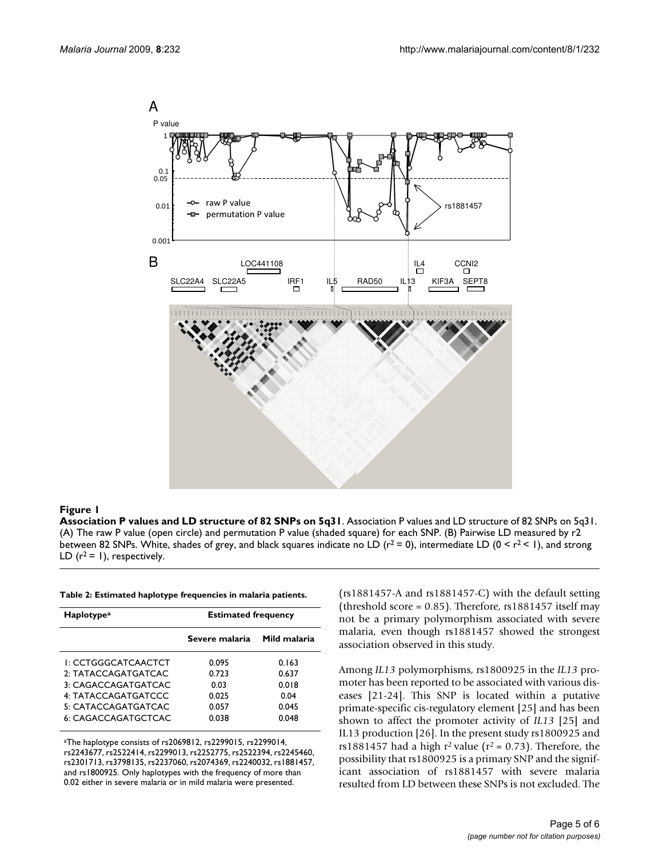

#### **Figure 1**

**Association P values and LD structure of 82 SNPs on 5q31**. Association P values and LD structure of 82 SNPs on 5q31. (A) The raw P value (open circle) and permutation P value (shaded square) for each SNP. (B) Pairwise LD measured by r2 between 82 SNPs. White, shades of grey, and black squares indicate no LD ( $r^2$  = 0), intermediate LD ( $0 \le r^2 \le 1$ ), and strong LD  $(r^2 = 1)$ , respectively.

| <b>Haplotype<sup>a</sup></b> | <b>Estimated frequency</b> |              |  |  |
|------------------------------|----------------------------|--------------|--|--|
|                              | Severe malaria             | Mild malaria |  |  |
| I: CCTGGGCATCAACTCT          | 0.095                      | 0.163        |  |  |
| 2: TATACCAGATGATCAC          | 0.723                      | 0.637        |  |  |
| 3: CAGACCAGATGATCAC          | 0.03                       | 0.018        |  |  |
| 4: TATACCAGATGATCCC          | 0.025                      | 0.04         |  |  |
| 5: CATACCAGATGATCAC          | 0.057                      | 0.045        |  |  |
| 6: CAGACCAGATGCTCAC          | 0.038                      | 0.048        |  |  |

aThe haplotype consists of rs2069812, rs2299015, rs2299014, rs2243677, rs2522414, rs2299013, rs2252775, rs2522394, rs2245460, rs2301713, rs3798135, rs2237060, rs2074369, rs2240032, rs1881457, and rs1800925. Only haplotypes with the frequency of more than 0.02 either in severe malaria or in mild malaria were presented.

(rs1881457-A and rs1881457-C) with the default setting (threshold score =  $0.85$ ). Therefore, rs1881457 itself may not be a primary polymorphism associated with severe malaria, even though rs1881457 showed the strongest association observed in this study.

Among *IL13* polymorphisms, rs1800925 in the *IL13* promoter has been reported to be associated with various diseases [21-24]. This SNP is located within a putative primate-specific cis-regulatory element [25] and has been shown to affect the promoter activity of *IL13* [25] and IL13 production [26]. In the present study rs1800925 and rs1881457 had a high  $r^2$  value ( $r^2$  = 0.73). Therefore, the possibility that rs1800925 is a primary SNP and the significant association of rs1881457 with severe malaria resulted from LD between these SNPs is not excluded. The